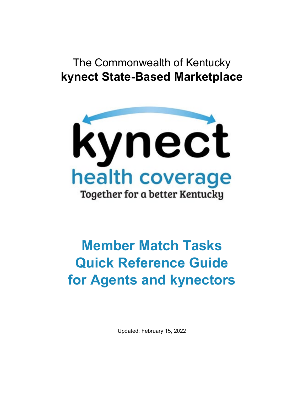# The Commonwealth of Kentucky **kynect State-Based Marketplace**



# **Member Match Tasks Quick Reference Guide for Agents and kynectors**

Updated: February 15, 2022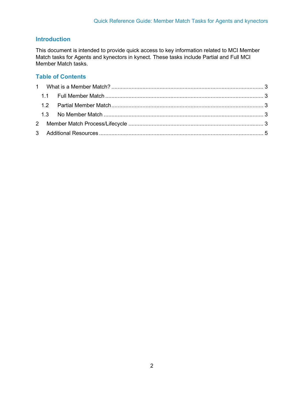#### **Introduction**

This document is intended to provide quick access to key information related to MCI Member Match tasks for Agents and kynectors in kynect. These tasks include Partial and Full MCI Member Match tasks.

#### **Table of Contents**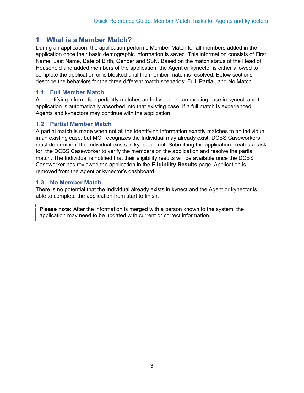### <span id="page-2-0"></span>**1 What is a Member Match?**

During an application, the application performs Member Match for all members added in the application once their basic demographic information is saved. This information consists of First Name, Last Name, Date of Birth, Gender and SSN. Based on the match status of the Head of Household and added members of the application, the Agent or kynector is either allowed to complete the application or is blocked until the member match is resolved. Below sections describe the behaviors for the three different match scenarios: Full, Partial, and No Match.

#### <span id="page-2-1"></span>**1.1 Full Member Match**

All identifying information perfectly matches an Individual on an existing case in kynect, and the application is automatically absorbed into that existing case. If a full match is experienced, Agents and kynectors may continue with the application.

#### <span id="page-2-2"></span>**1.2 Partial Member Match**

A partial match is made when not all the identifying information exactly matches to an individual in an existing case, but MCI recognizes the Individual may already exist. DCBS Caseworkers must determine if the Individual exists in kynect or not. Submitting the application creates a task for the DCBS Caseworker to verify the members on the application and resolve the partial match. The Individual is notified that their eligibility results will be available once the DCBS Caseworker has reviewed the application in the **Eligibility Results** page. Application is removed from the Agent or kynector's dashboard.

#### <span id="page-2-3"></span>**1.3 No Member Match**

There is no potential that the Individual already exists in kynect and the Agent or kynector is able to complete the application from start to finish.

<span id="page-2-4"></span>**Please note:** After the information is merged with a person known to the system, the application may need to be updated with current or correct information.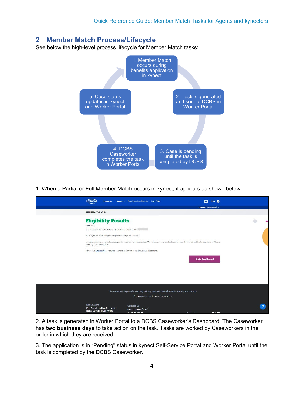# **2 Member Match Process/Lifecycle**

See below the high-level process lifecycle for Member Match tasks:



1. When a Partial or Full Member Match occurs in kynect, it appears as shown below:

| <b>kvnec</b><br>Dashboard                                     | Programs > Reps, kynectors, & Agents Help & FAQs                                    | ROBB <sub>O</sub><br>Ø                                                                                                                                            |  |
|---------------------------------------------------------------|-------------------------------------------------------------------------------------|-------------------------------------------------------------------------------------------------------------------------------------------------------------------|--|
|                                                               |                                                                                     | Languages: English (English) v                                                                                                                                    |  |
| <b>BENEFITS APPLICATION</b>                                   |                                                                                     |                                                                                                                                                                   |  |
| <b>Eligibility Results</b>                                    |                                                                                     |                                                                                                                                                                   |  |
| Legrn More                                                    |                                                                                     |                                                                                                                                                                   |  |
| Application Submission Successful for Application Number      |                                                                                     |                                                                                                                                                                   |  |
| Thank you for submitting your application to kynect benefits. |                                                                                     |                                                                                                                                                                   |  |
| telling you what to do next.                                  |                                                                                     | Unfortunately, we are unable to give you the results of your application. We will review your application and you will receive a notification in the next 30 days |  |
|                                                               | Please visit Contact Us to speak to a Customer Service agent about what this means. |                                                                                                                                                                   |  |
|                                                               |                                                                                     | <b>Go to Dashboard</b>                                                                                                                                            |  |
|                                                               |                                                                                     |                                                                                                                                                                   |  |
|                                                               |                                                                                     |                                                                                                                                                                   |  |
|                                                               |                                                                                     |                                                                                                                                                                   |  |
|                                                               |                                                                                     |                                                                                                                                                                   |  |
|                                                               | The expanded kynect is working to keep every Kentuckian safe, healthy and happy.    |                                                                                                                                                                   |  |
|                                                               | Go to kynect ky.cov to see all your options.                                        |                                                                                                                                                                   |  |
| Help & FAQs                                                   |                                                                                     |                                                                                                                                                                   |  |
| <b>Find Department for Community</b>                          | Contact Us                                                                          |                                                                                                                                                                   |  |
| Based Services (DCBS) Office                                  | kyneet benefits (DCBS)<br>1-855-308-8959                                            | <b>Tribe</b><br><b>Connool</b>                                                                                                                                    |  |

2. A task is generated in Worker Portal to a DCBS Caseworker's Dashboard. The Caseworker has **two business days** to take action on the task. Tasks are worked by Caseworkers in the order in which they are received.

3. The application is in "Pending" status in kynect Self-Service Portal and Worker Portal until the task is completed by the DCBS Caseworker.